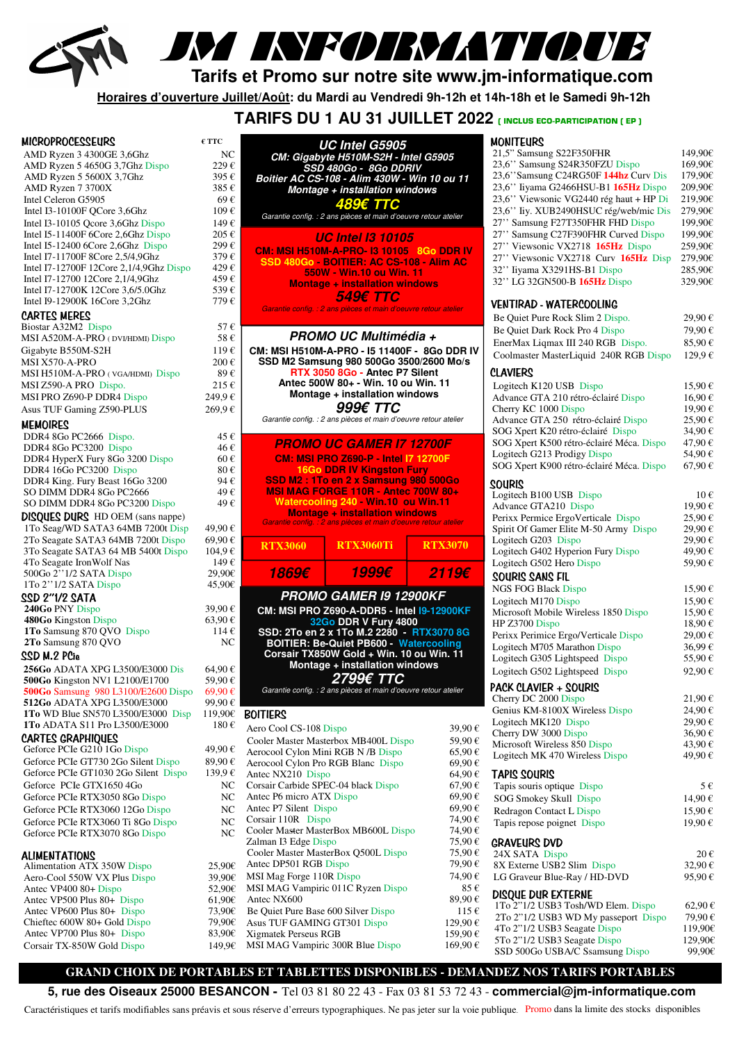

# JM INFORMATIQUE

**Tarifs et Promo sur notre site www.jm-informatique.com** 

**Horaires d'ouverture Juillet/Août: du Mardi au Vendredi 9h-12h et 14h-18h et le Samedi 9h-12h** 

**UC Intel G5905** 

 **TARIFS DU 1 AU 31 JUILLET 2022 ( INCLUS ECO-PARTICIPATION ( EP )** 

| <b>MICROPROCESSEURS</b>                                                 | $\epsilon$ TTC   |
|-------------------------------------------------------------------------|------------------|
| AMD Ryzen 3 4300GE 3,6Ghz                                               | NC               |
| AMD Ryzen 5 4650G 3,7Ghz Dispo                                          | 229€             |
| AMD Ryzen 5 5600X 3,7Ghz                                                | 395€             |
| AMD Ryzen 7 3700X                                                       | 385€             |
| Intel Celeron G5905                                                     | 69€              |
| Intel I3-10100F QCore 3,6Ghz                                            | 109€             |
| Intel I3-10105 Qcore 3,6Ghz Dispo<br>Intel I5-11400F 6Core 2,6Ghz Dispo | 149€<br>205€     |
| Intel I5-12400 6Core 2,6Ghz Dispo                                       | 299€             |
| Intel I7-11700F 8Core 2,5/4,9Ghz                                        | 379€             |
| Intel I7-12700F 12Core 2,1/4,9Ghz Dispo                                 | 429€             |
| Intel I7-12700 12Core 2,1/4,9Ghz                                        | 459€             |
| Intel I7-12700K 12Core 3,6/5.0Ghz                                       | 539€             |
| Intel I9-12900K 16Core 3,2Ghz                                           | 779€             |
| <b>CARTES MERES</b><br>Biostar A32M2 Dispo                              | 57€              |
| MSI A520M-A-PRO (DVI/HDMI) Dispo                                        | 58€              |
| Gigabyte B550M-S2H                                                      | 119€             |
| MSI X570-A-PRO                                                          | 200€             |
| MSI H510M-A-PRO (VGA/HDMI) Dispo                                        | 89€              |
| MSI Z590-A PRO Dispo.                                                   | 215€             |
| MSI PRO Z690-P DDR4 Dispo                                               | 249,9€           |
| Asus TUF Gaming Z590-PLUS                                               | 269,9€           |
| MEMOIRES                                                                |                  |
| DDR4 8Go PC2666 Dispo.                                                  | 45€              |
| DDR4 8Go PC3200 Dispo                                                   | 46€              |
| DDR4 HyperX Fury 8Go 3200 Dispo                                         | 60€              |
| DDR4 16Go PC3200 Dispo<br>DDR4 King. Fury Beast 16Go 3200               | 80€<br>94€       |
| SO DIMM DDR4 8Go PC2666                                                 | 49€              |
| SO DIMM DDR4 8Go PC3200 Dispo                                           | 49€              |
| <b>DISQUES DURS</b> HD OEM (sans nappe)                                 |                  |
| 1To Seag/WD SATA3 64MB 7200t Disp                                       | 49,90€           |
| 2To Seagate SATA3 64MB 7200t Dispo                                      | 69,90€           |
| 3To Seagate SATA3 64 MB 5400t Dispo                                     | 104,9€           |
| 4To Seagate Iron Wolf Nas                                               | 149€             |
| 500Go 2"1/2 SATA Dispo                                                  | 29,90€           |
| 1To 2"1/2 SATA Dispo<br>SSD 2"1/2 SATA                                  | 45,90€           |
| 240Go PNY Dispo                                                         | 39,90€           |
| 480Go Kingston Dispo                                                    | 63,90€           |
| 1To Samsung 870 QVO Dispo                                               | 114€             |
| 2To Samsung 870 QVO                                                     | NC               |
| SSD M.2 PCie                                                            |                  |
| 256Go ADATA XPG L3500/E3000 Dis<br>500Go Kingston NV1 L2100/E1700       | 64,90€<br>59.90€ |
| 500Go Samsung 980 L3100/E2600 Dispo                                     | 69,90€           |
| 512Go ADATA XPG L3500/E3000                                             | 99,90€           |
| 1To WD Blue SN570 L3500/E3000 Disp                                      | 119,90€          |
| 1To ADATA S11 Pro L3500/E3000                                           | 180€             |
| <b>CARTES GRAPHIQUES</b>                                                |                  |
| Geforce PCIe G210 1Go Dispo                                             | 49,90€           |
| Geforce PCIe GT730 2Go Silent Dispo                                     | 89,90€           |
| Geforce PCIe GT1030 2Go Silent Dispo                                    | 139,9€           |
| Geforce PCIe GTX1650 4Go                                                | NC               |
| Geforce PCIe RTX3050 8Go Dispo                                          | NC<br>NC         |
| Geforce PCIe RTX3060 12Go Dispo<br>Geforce PCIe RTX3060 Ti 8Go Dispo    | NC               |
| Geforce PCIe RTX3070 8Go Dispo                                          | NC               |
|                                                                         |                  |
| <b>ALIMENTATIONS</b>                                                    |                  |
| Alimentation ATX 350W Dispo<br>Aero-Cool 550W VX Plus Dispo             | 25,90€<br>39,90€ |
| Antec VP400 80+ Dispo                                                   | 52,90€           |
| Antec VP500 Plus 80+ Dispo                                              | $61,90 \in$      |
| Antec VP600 Plus 80+ Dispo                                              | 73,90€           |
| Chieftec 600W 80+ Gold Dispo                                            | 79,90€           |
| Antec VP700 Plus 80+ Dispo                                              | 83,90€           |
| Corsair TX-850W Gold Dispo                                              | 149,9€           |

| ≀€              |                                                     | CM: Gigabyte H510M-S2H - Intel G5905<br>SSD 480Go - 8Go DDRIV                                            |                    |
|-----------------|-----------------------------------------------------|----------------------------------------------------------------------------------------------------------|--------------------|
| 5€              |                                                     | Boitier AC CS-108 - Alim 430W - Win 10 ou 11                                                             |                    |
| $5 \in$         |                                                     | Montage + installation windows                                                                           |                    |
| $\theta$        |                                                     | 489€ TTC                                                                                                 |                    |
| $\epsilon$      |                                                     | Garantie config. : 2 ans pièces et main d'oeuvre retour atelier                                          |                    |
| €               |                                                     |                                                                                                          |                    |
| $5 \in$<br>≀€   |                                                     | <i><b>UC Intel 13 10105</b></i>                                                                          |                    |
| )€              |                                                     | <b>CM: MSI H510M-A-PRO-13 10105 8Go DDR IV</b>                                                           |                    |
| €               |                                                     | SSD 480Go - BOITIER: AC CS-108 - Alim AC                                                                 |                    |
| $\theta$        |                                                     | 550W - Win.10 ou Win. 11<br><b>Montage + installation windows</b>                                        |                    |
| )€              |                                                     | 549€ TTC                                                                                                 |                    |
| €               |                                                     | Garantie config. : 2 ans pièces et main d'oeuvre retour atelier                                          |                    |
|                 |                                                     |                                                                                                          |                    |
| 7€              |                                                     | PROMO UC Multimédia +                                                                                    |                    |
| š€              |                                                     |                                                                                                          |                    |
| $\theta$        |                                                     | CM: MSI H510M-A-PRO - 15 11400F - 8Go DDR IV<br>SSD M2 Samsung 980 500Go 3500/2600 Mo/s                  |                    |
| )€<br>$\theta$  |                                                     | RTX 3050 8Go - Antec P7 Silent                                                                           |                    |
| $5 \in$         |                                                     | Antec 500W 80+ - Win. 10 ou Win. 11                                                                      |                    |
| )€              |                                                     | Montage + installation windows                                                                           |                    |
| ≀€              |                                                     | 999€ TTC                                                                                                 |                    |
|                 |                                                     | Garantie config. : 2 ans pièces et main d'oeuvre retour atelier                                          |                    |
| $5 \in$         |                                                     |                                                                                                          |                    |
| ź€              |                                                     | <b>PROMO UC GAMER 17 12700F</b>                                                                          |                    |
| $\epsilon$      |                                                     | <b>CM: MSI PRO Z690-P - Intel I7 12700F</b>                                                              |                    |
| $\epsilon$      |                                                     | <b>16Go DDR IV Kingston Fury</b>                                                                         |                    |
| ŀ€              |                                                     | SSD M2: 1To en 2 x Samsung 980 500Go                                                                     |                    |
| €               |                                                     | <b>MSI MAG FORGE 110R - Antec 700W 80+</b>                                                               |                    |
| €               |                                                     | Watercooling 240 - Win.10 ou Win.11                                                                      |                    |
|                 |                                                     | <b>Montage + installation windows</b><br>Garantie config. : 2 ans pièces et main d'oeuvre retour atelier |                    |
| $\epsilon$      |                                                     |                                                                                                          |                    |
| )€              | <b>RTX3060</b>                                      | <b>RTX3060Ti</b>                                                                                         | <b>RTX3070</b>     |
| ≀€              |                                                     |                                                                                                          |                    |
|                 |                                                     |                                                                                                          |                    |
| ≀€<br>0€        | 1869€                                               | 1999€                                                                                                    | 2119€              |
| 0€              |                                                     |                                                                                                          |                    |
|                 |                                                     | PROMO GAMER I9 12900KF                                                                                   |                    |
| )€              |                                                     | CM: MSI PRO Z690-A-DDR5 - Intel I9-12900KF                                                               |                    |
| $\theta$<br>l € |                                                     | 32Go DDR V Fury 4800                                                                                     |                    |
| łС              |                                                     | SSD: 2To en 2 x 1To M.2 2280 - RTX3070 8G                                                                |                    |
|                 |                                                     | <b>BOITIER: Be-Quiet PB600 - Watercooling</b><br>Corsair TX850W Gold + Win. 10 ou Win. 11                |                    |
|                 |                                                     | Montage + installation windows                                                                           |                    |
| )€<br>)€        |                                                     | 2799€ TTC                                                                                                |                    |
| )€              |                                                     | Garantie config. : 2 ans pièces et main d'oeuvre retour atelier                                          |                    |
| $\epsilon$      |                                                     |                                                                                                          |                    |
| 0€              | BOITIERS                                            |                                                                                                          |                    |
| $\epsilon$      | Aero Cool CS-108 Dispo                              |                                                                                                          | 39,90€             |
|                 |                                                     | Cooler Master Masterbox MB400L Dispo                                                                     | 59,90€             |
| $\epsilon$      | Aerocool Cylon Mini RGB N/B Dispo                   |                                                                                                          | 65,90€             |
| $\epsilon$      |                                                     | Aerocool Cylon Pro RGB Blanc Dispo                                                                       | 69,90€             |
| ≀€              | Antec NX210 Dispo                                   |                                                                                                          | 64,90€             |
| JС              | Corsair Carbide SPEC-04 black Dispo                 |                                                                                                          | 67,90€<br>69,90€   |
| JС<br>JС        | Antec P6 micro ATX Dispo<br>Antec P7 Silent Dispo   |                                                                                                          | 69,90€             |
| łС              | Corsair 110R Dispo                                  |                                                                                                          | 74,90€             |
| JС              |                                                     | Cooler Master MasterBox MB600L Dispo                                                                     | 74,90€             |
|                 | Zalman I3 Edge Dispo                                |                                                                                                          | 75,90€             |
|                 |                                                     | Cooler Master MasterBox Q500L Dispo                                                                      | 75,90€             |
| 0€              | Antec DP501 RGB Dispo                               |                                                                                                          | 79,90€             |
| 0€              | MSI Mag Forge 110R Dispo                            |                                                                                                          | 74,90€             |
| 0€              |                                                     | MSI MAG Vampiric 011C Ryzen Dispo                                                                        | 85€                |
| 0€              | Antec NX600                                         |                                                                                                          | 89,90€             |
| 0€              | Be Quiet Pure Base 600 Silver Dispo                 |                                                                                                          | 115€               |
| 0€<br>0€        | Asus TUF GAMING GT301 Dispo<br>Xigmatek Perseus RGB |                                                                                                          | 129,90€<br>159,90€ |
| 9€              | MSI MAG Vampiric 300R Blue Dispo                    |                                                                                                          | $169{,}90 \in$     |

| MONITEURS                                                                         |                    |
|-----------------------------------------------------------------------------------|--------------------|
| 21,5" Samsung S22F350FHR                                                          | 149,90€            |
| 23,6" Samsung S24R350FZU Dispo                                                    | 169,90€            |
| 23,6" Samsung C24RG50F 144hz Curv Dis                                             | 179,90€            |
| 23,6" liyama G2466HSU-B1 165Hz Dispo                                              | 209,90€            |
| 23,6" Viewsonic VG2440 rég haut + HP Di<br>23,6" liy. XUB2490HSUC rég/web/mic Dis | 219,90€<br>279,90€ |
| 27" Samsung F27T350FHR FHD Dispo                                                  | 199,90€            |
| 27" Samsung C27F390FHR Curved Dispo                                               | 199,90€            |
| 27" Viewsonic VX2718 165Hz Dispo                                                  | 259,90€            |
| 27" Viewsonic VX2718 Curv 165Hz Disp                                              | 279,90€            |
| 32" liyama X3291HS-B1 Dispo                                                       | 285,90€            |
| 32" LG 32GN500-B 165Hz Dispo                                                      | 329,90€            |
| VENTIRAD - WATERCOOLING                                                           |                    |
| Be Quiet Pure Rock Slim 2 Dispo.                                                  | 29,90€             |
| Be Quiet Dark Rock Pro 4 Dispo                                                    | 79,90€             |
| EnerMax Liqmax III 240 RGB Dispo.                                                 | 85,90€             |
| Coolmaster MasterLiquid 240R RGB Dispo                                            | 129,9€             |
| <b>CLAVIERS</b>                                                                   |                    |
| Logitech K120 USB Dispo<br>Advance GTA 210 rétro-éclairé Dispo                    | 15,90€<br>16,90€   |
| Cherry KC 1000 Dispo                                                              | 19,90€             |
| Advance GTA 250 rétro-éclairé Dispo                                               | 25,90€             |
| SOG Xpert K20 rétro-éclairé Dispo                                                 | 34,90€             |
| SOG Xpert K500 rétro-éclairé Méca. Dispo                                          | 47,90€             |
| Logitech G213 Prodigy Dispo                                                       | 54,90€             |
| SOG Xpert K900 rétro-éclairé Méca. Dispo                                          | 67,90€             |
| <b>SOURIS</b>                                                                     |                    |
| Logitech B100 USB Dispo<br>Advance GTA210 Dispo                                   | 10€                |
| Perixx Permice ErgoVerticale Dispo                                                | 19,90€<br>25,90€   |
| Spirit Of Gamer Elite M-50 Army Dispo                                             | 29,90€             |
| Logitech G203 Dispo                                                               | 29,90€             |
| Logitech G402 Hyperion Fury Dispo                                                 | 49,90€             |
| Logitech G502 Hero Dispo                                                          | 59,90€             |
| <b>SOURIS SANS FIL</b><br><b>NGS FOG Black Dispo</b>                              | 15,90€             |
| Logitech M170 Dispo                                                               | 15,90€             |
| Microsoft Mobile Wireless 1850 Dispo                                              | 15,90€             |
| HP Z3700 Dispo                                                                    | 18,90€             |
| Perixx Perimice Ergo/Verticale Dispo                                              | 29,00€             |
| Logitech M705 Marathon Dispo                                                      | 36,99€             |
| Logitech G305 Lightspeed Dispo                                                    | 55,90€             |
| Logitech G502 Lightspeed Dispo                                                    | 92.90€             |
| PACK CLAVIER + SOURIS<br>Cherry DC 2000 Dispo                                     | 21,90€             |
| Genius KM-8100X Wireless Dispo                                                    | 24,90€             |
| Logitech MK120 Dispo                                                              | 29,90€             |
| Cherry DW 3000 Dispo                                                              | 36,90€             |
| Microsoft Wireless 850 Dispo                                                      | 43,90€             |
| Logitech MK 470 Wireless Dispo                                                    | 49,90€             |
| <b>TAPIS SOURIS</b>                                                               |                    |
| Tapis souris optique Dispo                                                        | 5€                 |
| SOG Smokey Skull Dispo                                                            | 14,90€             |
| Redragon Contact L Dispo                                                          | 15,90€             |
| Tapis repose poignet Dispo                                                        | 19,90€             |
| <b>GRAVEURS DVD</b><br>24X SATA Dispo                                             | 20€                |
| 8X Externe USB2 Slim Dispo                                                        | 32,90€             |
| LG Graveur Blue-Ray / HD-DVD                                                      | 95,90€             |
| <b>DISQUE DUR EXTERNE</b>                                                         |                    |
| 1To 2"1/2 USB3 Tosh/WD Elem. Dispo                                                | 62,90€             |
| 2To 2"1/2 USB3 WD My passeport Dispo                                              | 79,90€             |
| 4To 2"1/2 USB3 Seagate Dispo                                                      | 119,90€            |
| 5To 2"1/2 USB3 Seagate Dispo<br>SSD 500Go USBA/C Ssamsung Dispo                   | 129,90€<br>99,90€  |
|                                                                                   |                    |

### **GRAND CHOIX DE PORTABLES ET TABLETTES DISPONIBLES - DEMANDEZ NOS TARIFS PORTABLES**

**5, rue des Oiseaux 25000 BESANCON -** Tel 03 81 80 22 43 - Fax 03 81 53 72 43 - **commercial@jm-informatique.com**

Caractéristiques et tarifs modifiables sans préavis et sous réserve d'erreurs typographiques. Ne pas jeter sur la voie publique. Promo dans la limite des stocks disponibles